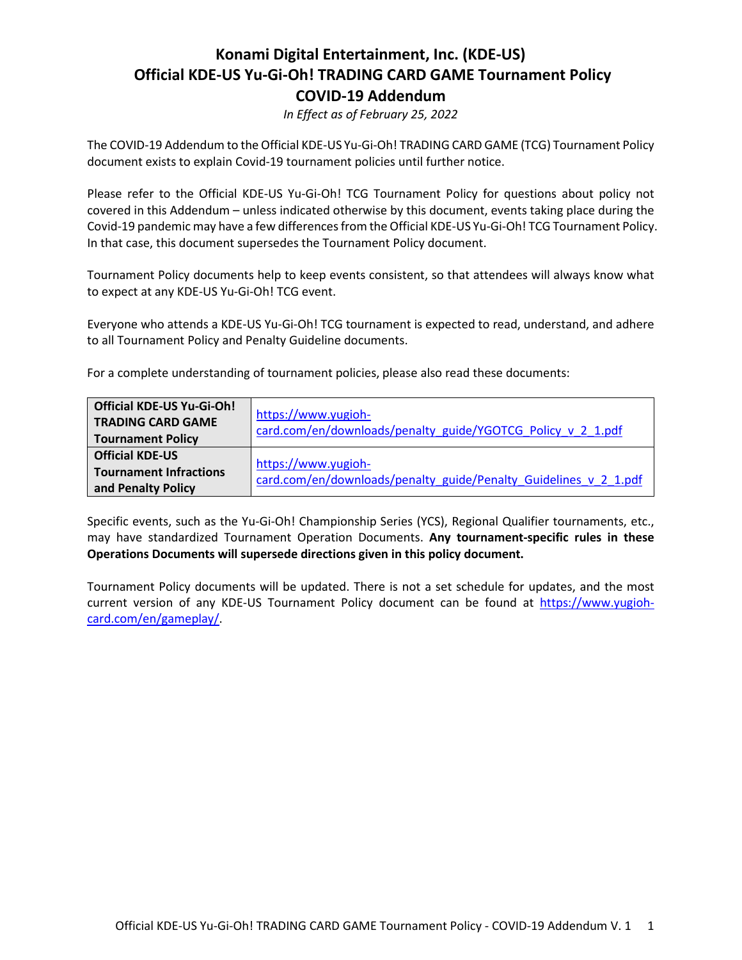### **Konami Digital Entertainment, Inc. (KDE-US) Official KDE-US Yu-Gi-Oh! TRADING CARD GAME Tournament Policy COVID-19 Addendum**

*In Effect as of February 25, 2022*

The COVID-19 Addendum to the Official KDE-US Yu-Gi-Oh! TRADING CARD GAME (TCG) Tournament Policy document exists to explain Covid-19 tournament policies until further notice.

Please refer to the Official KDE-US Yu-Gi-Oh! TCG Tournament Policy for questions about policy not covered in this Addendum – unless indicated otherwise by this document, events taking place during the Covid-19 pandemic may have a few differences from the Official KDE-US Yu-Gi-Oh! TCG Tournament Policy. In that case, this document supersedes the Tournament Policy document.

Tournament Policy documents help to keep events consistent, so that attendees will always know what to expect at any KDE-US Yu-Gi-Oh! TCG event.

Everyone who attends a KDE-US Yu-Gi-Oh! TCG tournament is expected to read, understand, and adhere to all Tournament Policy and Penalty Guideline documents.

For a complete understanding of tournament policies, please also read these documents:

| <b>Official KDE-US Yu-Gi-Oh!</b> | https://www.yugioh-<br>card.com/en/downloads/penalty_guide/YGOTCG_Policy_v_2_1.pdf |  |
|----------------------------------|------------------------------------------------------------------------------------|--|
| <b>TRADING CARD GAME</b>         |                                                                                    |  |
| <b>Tournament Policy</b>         |                                                                                    |  |
| <b>Official KDE-US</b>           | https://www.yugioh-                                                                |  |
| <b>Tournament Infractions</b>    |                                                                                    |  |
| and Penalty Policy               | card.com/en/downloads/penalty guide/Penalty Guidelines v 2 1.pdf                   |  |

Specific events, such as the Yu-Gi-Oh! Championship Series (YCS), Regional Qualifier tournaments, etc., may have standardized Tournament Operation Documents. **Any tournament-specific rules in these Operations Documents will supersede directions given in this policy document.**

Tournament Policy documents will be updated. There is not a set schedule for updates, and the most current version of any KDE-US Tournament Policy document can be found at [https://www.yugioh](https://www.yugioh-card.com/en/gameplay/)[card.com/en/gameplay/.](https://www.yugioh-card.com/en/gameplay/)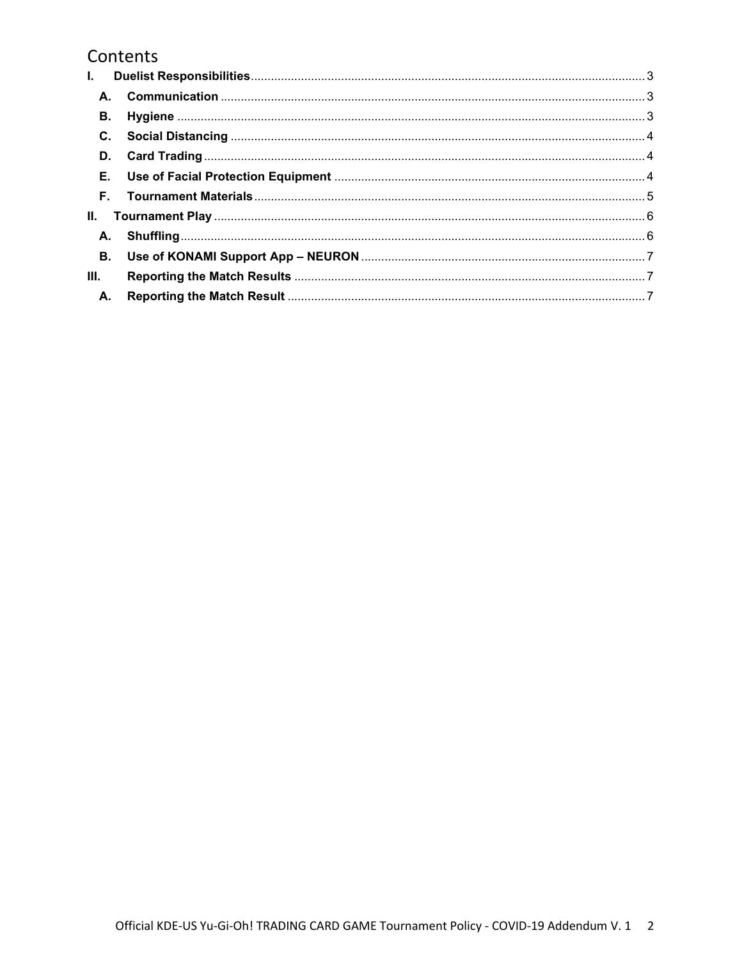# Contents

| L.        |  |  |  |
|-----------|--|--|--|
|           |  |  |  |
| В.        |  |  |  |
|           |  |  |  |
|           |  |  |  |
|           |  |  |  |
| F.        |  |  |  |
| II. –     |  |  |  |
|           |  |  |  |
| <b>B.</b> |  |  |  |
| III.      |  |  |  |
| А.        |  |  |  |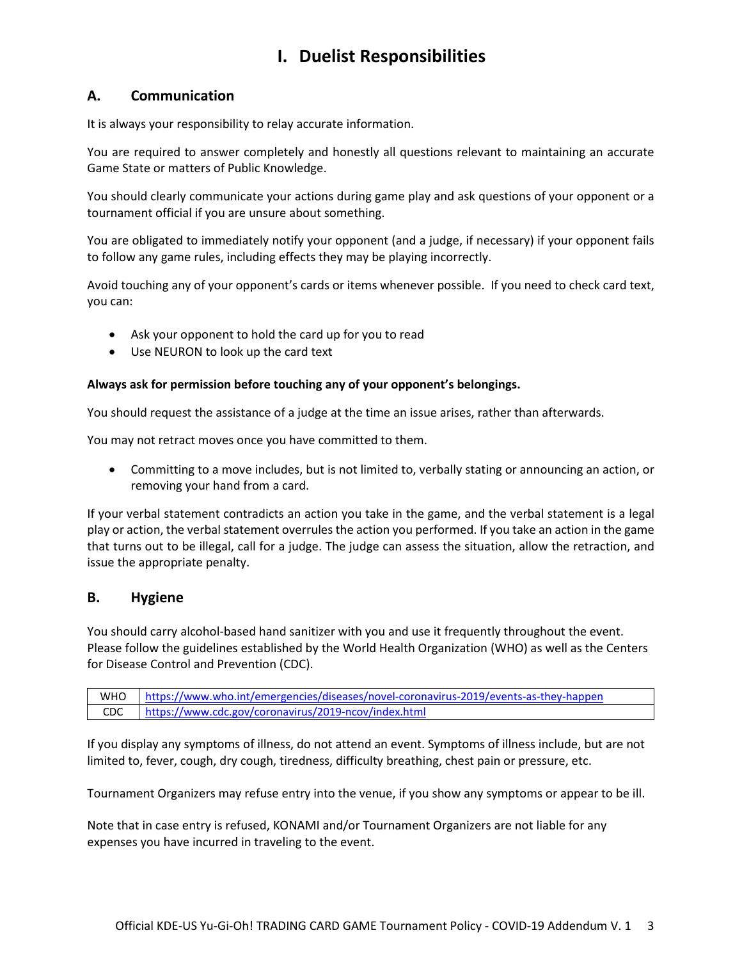# **I. Duelist Responsibilities**

### <span id="page-2-1"></span><span id="page-2-0"></span>**A. Communication**

It is always your responsibility to relay accurate information.

You are required to answer completely and honestly all questions relevant to maintaining an accurate Game State or matters of Public Knowledge.

You should clearly communicate your actions during game play and ask questions of your opponent or a tournament official if you are unsure about something.

You are obligated to immediately notify your opponent (and a judge, if necessary) if your opponent fails to follow any game rules, including effects they may be playing incorrectly.

Avoid touching any of your opponent's cards or items whenever possible. If you need to check card text, you can:

- Ask your opponent to hold the card up for you to read
- Use NEURON to look up the card text

#### **Always ask for permission before touching any of your opponent's belongings.**

You should request the assistance of a judge at the time an issue arises, rather than afterwards.

You may not retract moves once you have committed to them.

• Committing to a move includes, but is not limited to, verbally stating or announcing an action, or removing your hand from a card.

If your verbal statement contradicts an action you take in the game, and the verbal statement is a legal play or action, the verbal statement overrules the action you performed. If you take an action in the game that turns out to be illegal, call for a judge. The judge can assess the situation, allow the retraction, and issue the appropriate penalty.

### <span id="page-2-2"></span>**B. Hygiene**

You should carry alcohol-based hand sanitizer with you and use it frequently throughout the event. Please follow the guidelines established by the World Health Organization (WHO) as well as the Centers for Disease Control and Prevention (CDC).

WHO <https://www.who.int/emergencies/diseases/novel-coronavirus-2019/events-as-they-happen> CDC <https://www.cdc.gov/coronavirus/2019-ncov/index.html>

If you display any symptoms of illness, do not attend an event. Symptoms of illness include, but are not limited to, fever, cough, dry cough, tiredness, difficulty breathing, chest pain or pressure, etc.

Tournament Organizers may refuse entry into the venue, if you show any symptoms or appear to be ill.

Note that in case entry is refused, KONAMI and/or Tournament Organizers are not liable for any expenses you have incurred in traveling to the event.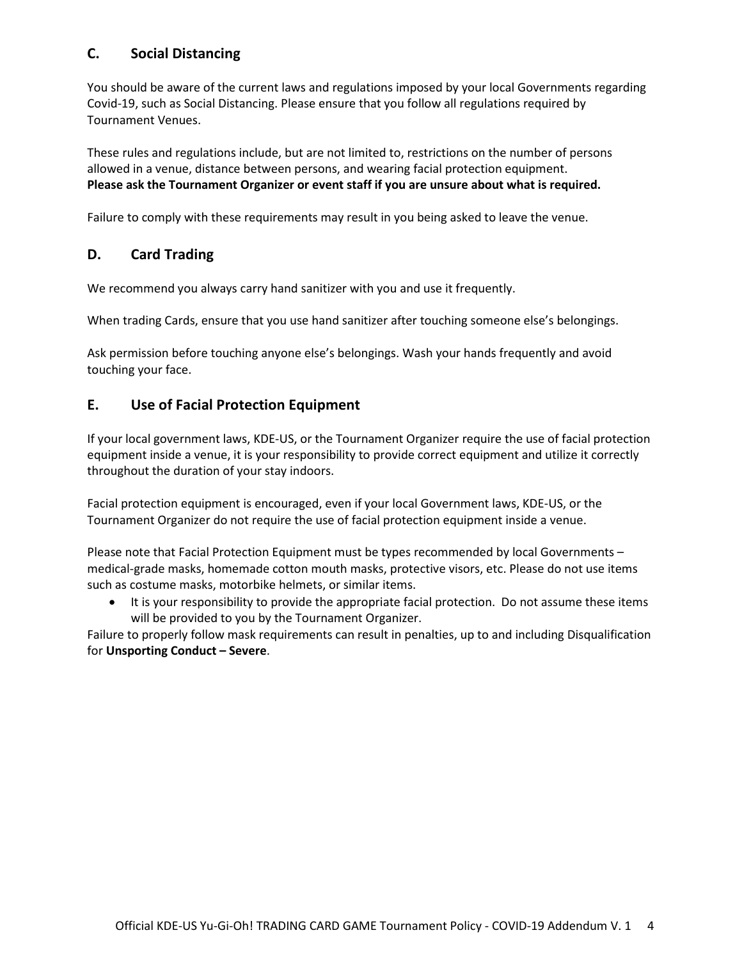### <span id="page-3-0"></span>**C. Social Distancing**

You should be aware of the current laws and regulations imposed by your local Governments regarding Covid-19, such as Social Distancing. Please ensure that you follow all regulations required by Tournament Venues.

These rules and regulations include, but are not limited to, restrictions on the number of persons allowed in a venue, distance between persons, and wearing facial protection equipment. **Please ask the Tournament Organizer or event staff if you are unsure about what is required.**

Failure to comply with these requirements may result in you being asked to leave the venue.

### <span id="page-3-1"></span>**D. Card Trading**

We recommend you always carry hand sanitizer with you and use it frequently.

When trading Cards, ensure that you use hand sanitizer after touching someone else's belongings.

Ask permission before touching anyone else's belongings. Wash your hands frequently and avoid touching your face.

### <span id="page-3-2"></span>**E. Use of Facial Protection Equipment**

If your local government laws, KDE-US, or the Tournament Organizer require the use of facial protection equipment inside a venue, it is your responsibility to provide correct equipment and utilize it correctly throughout the duration of your stay indoors.

Facial protection equipment is encouraged, even if your local Government laws, KDE-US, or the Tournament Organizer do not require the use of facial protection equipment inside a venue.

Please note that Facial Protection Equipment must be types recommended by local Governments – medical-grade masks, homemade cotton mouth masks, protective visors, etc. Please do not use items such as costume masks, motorbike helmets, or similar items.

• It is your responsibility to provide the appropriate facial protection. Do not assume these items will be provided to you by the Tournament Organizer.

Failure to properly follow mask requirements can result in penalties, up to and including Disqualification for **Unsporting Conduct – Severe**.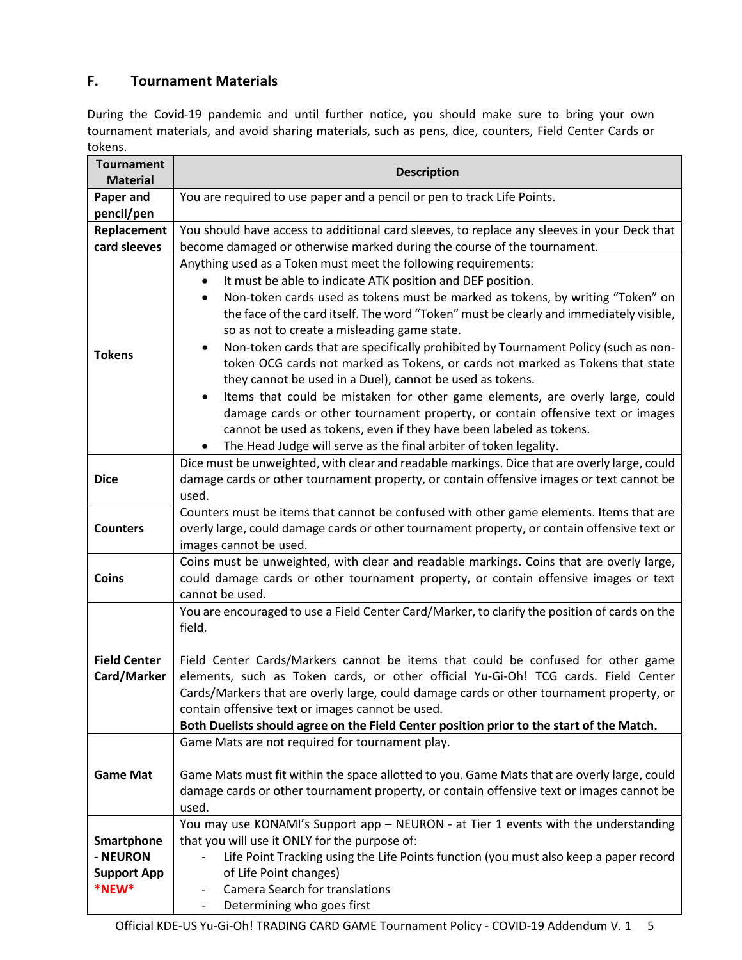### <span id="page-4-0"></span>**F. Tournament Materials**

During the Covid-19 pandemic and until further notice, you should make sure to bring your own tournament materials, and avoid sharing materials, such as pens, dice, counters, Field Center Cards or tokens.

| <b>Tournament</b><br><b>Material</b>                  | <b>Description</b>                                                                                                                                                                                                                                                                                                                                                                                                                                                                                                                                                                                                                                                                                                                                                                                                                       |  |
|-------------------------------------------------------|------------------------------------------------------------------------------------------------------------------------------------------------------------------------------------------------------------------------------------------------------------------------------------------------------------------------------------------------------------------------------------------------------------------------------------------------------------------------------------------------------------------------------------------------------------------------------------------------------------------------------------------------------------------------------------------------------------------------------------------------------------------------------------------------------------------------------------------|--|
| Paper and<br>pencil/pen                               | You are required to use paper and a pencil or pen to track Life Points.                                                                                                                                                                                                                                                                                                                                                                                                                                                                                                                                                                                                                                                                                                                                                                  |  |
| Replacement                                           | You should have access to additional card sleeves, to replace any sleeves in your Deck that                                                                                                                                                                                                                                                                                                                                                                                                                                                                                                                                                                                                                                                                                                                                              |  |
| card sleeves                                          | become damaged or otherwise marked during the course of the tournament.                                                                                                                                                                                                                                                                                                                                                                                                                                                                                                                                                                                                                                                                                                                                                                  |  |
| <b>Tokens</b>                                         | Anything used as a Token must meet the following requirements:<br>It must be able to indicate ATK position and DEF position.<br>Non-token cards used as tokens must be marked as tokens, by writing "Token" on<br>the face of the card itself. The word "Token" must be clearly and immediately visible,<br>so as not to create a misleading game state.<br>Non-token cards that are specifically prohibited by Tournament Policy (such as non-<br>token OCG cards not marked as Tokens, or cards not marked as Tokens that state<br>they cannot be used in a Duel), cannot be used as tokens.<br>Items that could be mistaken for other game elements, are overly large, could<br>damage cards or other tournament property, or contain offensive text or images<br>cannot be used as tokens, even if they have been labeled as tokens. |  |
|                                                       | The Head Judge will serve as the final arbiter of token legality.<br>Dice must be unweighted, with clear and readable markings. Dice that are overly large, could                                                                                                                                                                                                                                                                                                                                                                                                                                                                                                                                                                                                                                                                        |  |
| <b>Dice</b>                                           | damage cards or other tournament property, or contain offensive images or text cannot be<br>used.                                                                                                                                                                                                                                                                                                                                                                                                                                                                                                                                                                                                                                                                                                                                        |  |
| <b>Counters</b>                                       | Counters must be items that cannot be confused with other game elements. Items that are<br>overly large, could damage cards or other tournament property, or contain offensive text or<br>images cannot be used.                                                                                                                                                                                                                                                                                                                                                                                                                                                                                                                                                                                                                         |  |
| Coins                                                 | Coins must be unweighted, with clear and readable markings. Coins that are overly large,<br>could damage cards or other tournament property, or contain offensive images or text<br>cannot be used.                                                                                                                                                                                                                                                                                                                                                                                                                                                                                                                                                                                                                                      |  |
|                                                       | You are encouraged to use a Field Center Card/Marker, to clarify the position of cards on the<br>field.                                                                                                                                                                                                                                                                                                                                                                                                                                                                                                                                                                                                                                                                                                                                  |  |
| <b>Field Center</b>                                   | Field Center Cards/Markers cannot be items that could be confused for other game                                                                                                                                                                                                                                                                                                                                                                                                                                                                                                                                                                                                                                                                                                                                                         |  |
| Card/Marker                                           | elements, such as Token cards, or other official Yu-Gi-Oh! TCG cards. Field Center<br>Cards/Markers that are overly large, could damage cards or other tournament property, or<br>contain offensive text or images cannot be used.                                                                                                                                                                                                                                                                                                                                                                                                                                                                                                                                                                                                       |  |
|                                                       | Both Duelists should agree on the Field Center position prior to the start of the Match.<br>Game Mats are not required for tournament play.                                                                                                                                                                                                                                                                                                                                                                                                                                                                                                                                                                                                                                                                                              |  |
| <b>Game Mat</b>                                       | Game Mats must fit within the space allotted to you. Game Mats that are overly large, could<br>damage cards or other tournament property, or contain offensive text or images cannot be<br>used.                                                                                                                                                                                                                                                                                                                                                                                                                                                                                                                                                                                                                                         |  |
| Smartphone<br>- NEURON<br><b>Support App</b><br>*NEW* | You may use KONAMI's Support app - NEURON - at Tier 1 events with the understanding<br>that you will use it ONLY for the purpose of:<br>Life Point Tracking using the Life Points function (you must also keep a paper record<br>of Life Point changes)<br><b>Camera Search for translations</b><br>Determining who goes first<br>$\overline{\phantom{a}}$                                                                                                                                                                                                                                                                                                                                                                                                                                                                               |  |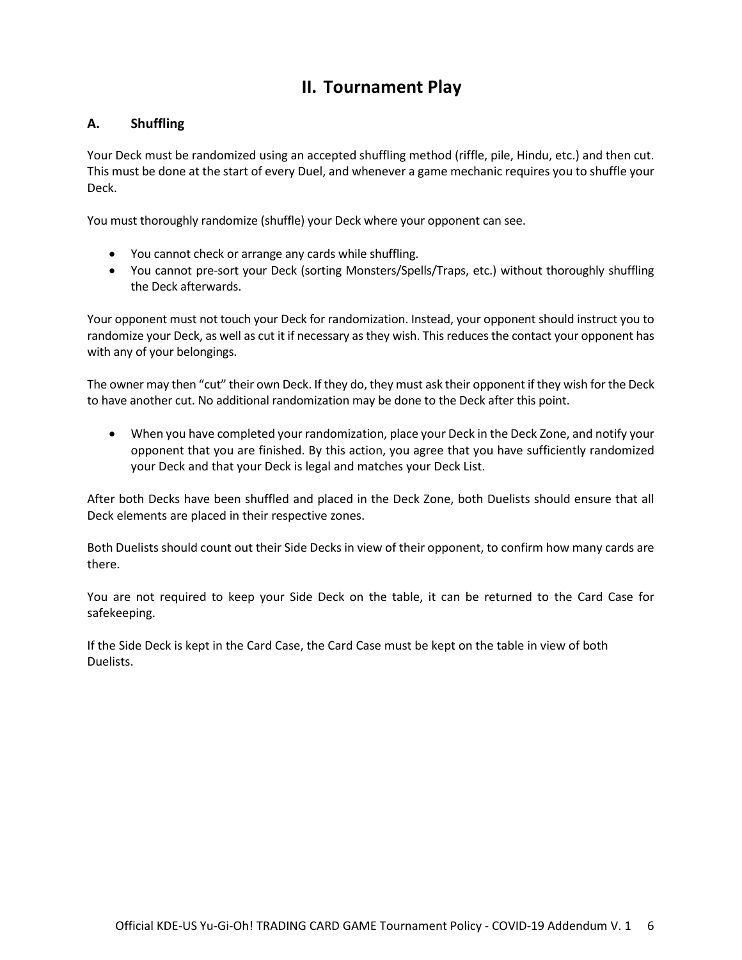# **II. Tournament Play**

### <span id="page-5-1"></span><span id="page-5-0"></span>**A. Shuffling**

Your Deck must be randomized using an accepted shuffling method (riffle, pile, Hindu, etc.) and then cut. This must be done at the start of every Duel, and whenever a game mechanic requires you to shuffle your Deck.

You must thoroughly randomize (shuffle) your Deck where your opponent can see.

- You cannot check or arrange any cards while shuffling.
- You cannot pre-sort your Deck (sorting Monsters/Spells/Traps, etc.) without thoroughly shuffling the Deck afterwards.

Your opponent must not touch your Deck for randomization. Instead, your opponent should instruct you to randomize your Deck, as well as cut it if necessary as they wish. This reduces the contact your opponent has with any of your belongings.

The owner may then "cut" their own Deck. If they do, they must ask their opponent if they wish for the Deck to have another cut. No additional randomization may be done to the Deck after this point.

• When you have completed your randomization, place your Deck in the Deck Zone, and notify your opponent that you are finished. By this action, you agree that you have sufficiently randomized your Deck and that your Deck is legal and matches your Deck List.

After both Decks have been shuffled and placed in the Deck Zone, both Duelists should ensure that all Deck elements are placed in their respective zones.

Both Duelists should count out their Side Decks in view of their opponent, to confirm how many cards are there.

You are not required to keep your Side Deck on the table, it can be returned to the Card Case for safekeeping.

If the Side Deck is kept in the Card Case, the Card Case must be kept on the table in view of both Duelists.